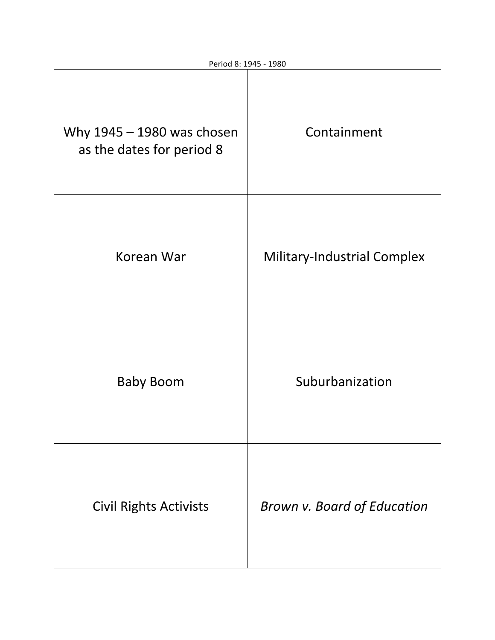| Why 1945 - 1980 was chosen<br>as the dates for period 8 | Containment                        |
|---------------------------------------------------------|------------------------------------|
| Korean War                                              | <b>Military-Industrial Complex</b> |
| <b>Baby Boom</b>                                        | Suburbanization                    |
| <b>Civil Rights Activists</b>                           | Brown v. Board of Education        |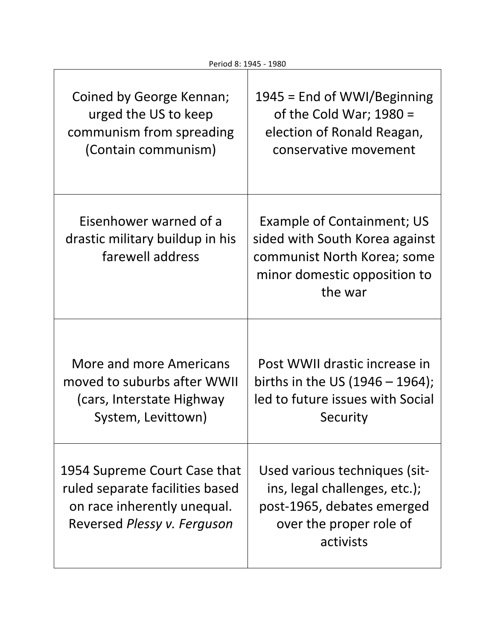| Coined by George Kennan;                                                                                                      | $1945$ = End of WWI/Beginning                                                                                                                 |
|-------------------------------------------------------------------------------------------------------------------------------|-----------------------------------------------------------------------------------------------------------------------------------------------|
| urged the US to keep                                                                                                          | of the Cold War; $1980 =$                                                                                                                     |
| communism from spreading                                                                                                      | election of Ronald Reagan,                                                                                                                    |
| (Contain communism)                                                                                                           | conservative movement                                                                                                                         |
| Eisenhower warned of a<br>drastic military buildup in his<br>farewell address                                                 | <b>Example of Containment; US</b><br>sided with South Korea against<br>communist North Korea; some<br>minor domestic opposition to<br>the war |
| More and more Americans                                                                                                       | Post WWII drastic increase in                                                                                                                 |
| moved to suburbs after WWII                                                                                                   | births in the US $(1946 - 1964)$ ;                                                                                                            |
| (cars, Interstate Highway                                                                                                     | led to future issues with Social                                                                                                              |
| System, Levittown)                                                                                                            | Security                                                                                                                                      |
| 1954 Supreme Court Case that<br>ruled separate facilities based<br>on race inherently unequal.<br>Reversed Plessy v. Ferguson | Used various techniques (sit-<br>ins, legal challenges, etc.);<br>post-1965, debates emerged<br>over the proper role of<br>activists          |

Period 8: 1945 - 1980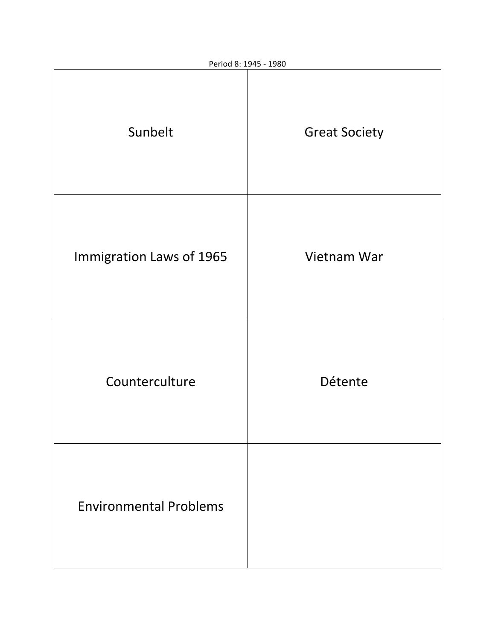| Sunbelt                       | <b>Great Society</b> |
|-------------------------------|----------------------|
| Immigration Laws of 1965      | Vietnam War          |
| Counterculture                | Détente              |
| <b>Environmental Problems</b> |                      |